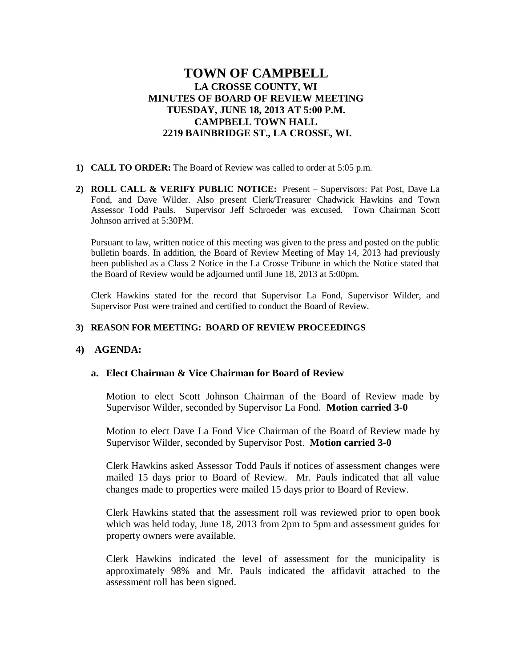# **TOWN OF CAMPBELL LA CROSSE COUNTY, WI MINUTES OF BOARD OF REVIEW MEETING TUESDAY, JUNE 18, 2013 AT 5:00 P.M. CAMPBELL TOWN HALL 2219 BAINBRIDGE ST., LA CROSSE, WI.**

- **1) CALL TO ORDER:** The Board of Review was called to order at 5:05 p.m.
- **2) ROLL CALL & VERIFY PUBLIC NOTICE:** Present Supervisors: Pat Post, Dave La Fond, and Dave Wilder. Also present Clerk/Treasurer Chadwick Hawkins and Town Assessor Todd Pauls. Supervisor Jeff Schroeder was excused. Town Chairman Scott Johnson arrived at 5:30PM.

Pursuant to law, written notice of this meeting was given to the press and posted on the public bulletin boards. In addition, the Board of Review Meeting of May 14, 2013 had previously been published as a Class 2 Notice in the La Crosse Tribune in which the Notice stated that the Board of Review would be adjourned until June 18, 2013 at 5:00pm.

Clerk Hawkins stated for the record that Supervisor La Fond, Supervisor Wilder, and Supervisor Post were trained and certified to conduct the Board of Review.

### **3) REASON FOR MEETING: BOARD OF REVIEW PROCEEDINGS**

#### **4) AGENDA:**

# **a. Elect Chairman & Vice Chairman for Board of Review**

Motion to elect Scott Johnson Chairman of the Board of Review made by Supervisor Wilder, seconded by Supervisor La Fond. **Motion carried 3-0**

Motion to elect Dave La Fond Vice Chairman of the Board of Review made by Supervisor Wilder, seconded by Supervisor Post. **Motion carried 3-0**

Clerk Hawkins asked Assessor Todd Pauls if notices of assessment changes were mailed 15 days prior to Board of Review. Mr. Pauls indicated that all value changes made to properties were mailed 15 days prior to Board of Review.

Clerk Hawkins stated that the assessment roll was reviewed prior to open book which was held today, June 18, 2013 from 2pm to 5pm and assessment guides for property owners were available.

Clerk Hawkins indicated the level of assessment for the municipality is approximately 98% and Mr. Pauls indicated the affidavit attached to the assessment roll has been signed.